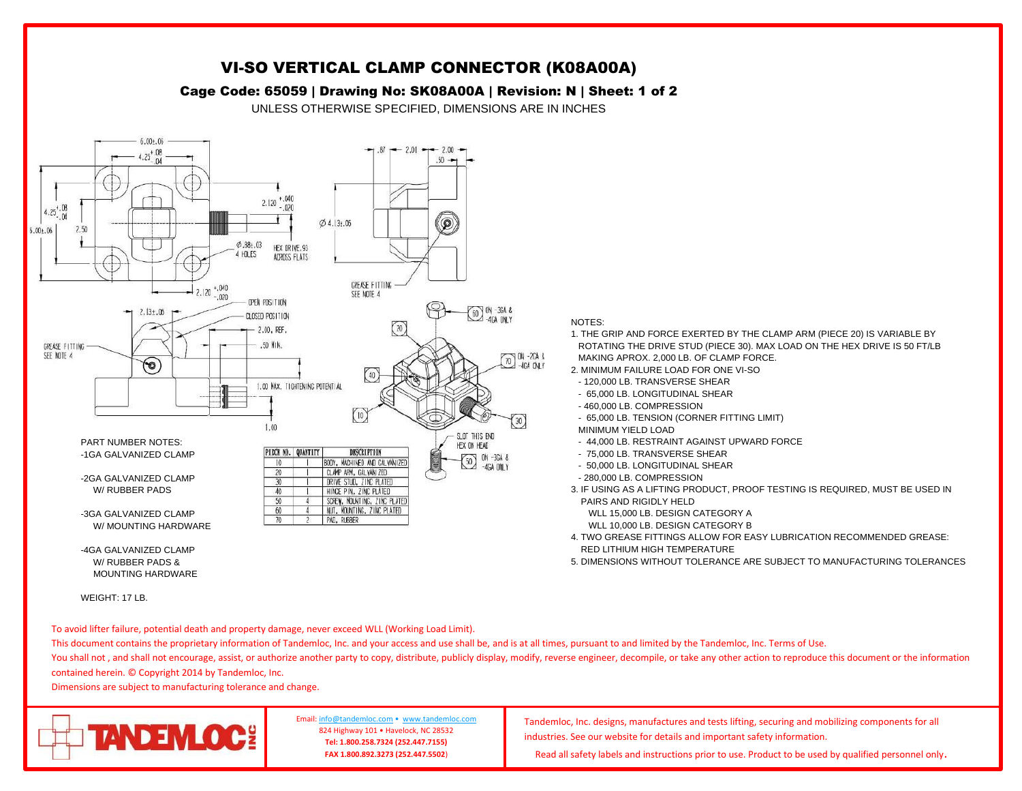

WEIGHT: 17 LB.

To avoid lifter failure, potential death and property damage, never exceed WLL (Working Load Limit).

This document contains the proprietary information of Tandemloc, Inc. and your access and use shall be, and is at all times, pursuant to and limited by the Tandemloc, Inc. Terms of Use.

You shall not, and shall not encourage, assist, or authorize another party to copy, distribute, publicly display, modify, reverse engineer, decompile, or take any other action to reproduce this document or the information contained herein. © Copyright 2014 by Tandemloc, Inc.

Dimensions are subject to manufacturing tolerance and change.



Email[: info@tandemloc.com](mailto:info@tandemloc.com) • [www.tandemloc.com](http://www.tandemloc.com/) 824 Highway 101 • Havelock, NC 28532 **Tel: 1.800.258.7324 (252.447.7155) FAX 1.800.892.3273 (252.447.5502**)

Tandemloc, Inc. designs, manufactures and tests lifting, securing and mobilizing components for all industries. See our website for details and important safety information.

Read all safety labels and instructions prior to use. Product to be used by qualified personnel only.

VI-SO VERTICAL CLAMP CONNECTOR (K08A00A)

## Cage Code: 65059 | Drawing No: SK08A00A | Revision: N | Sheet: 1 of 2

1. THE GRIP AND FORCE EXERTED BY THE CLAMP ARM (PIECE 20) IS VARIABLE BY ROTATING THE DRIVE STUD (PIECE 30). MAX LOAD ON THE HEX DRIVE IS 50 FT/LB MAKING APROX. 2,000 LB. OF CLAMP FORCE.

- 2. MINIMUM FAILURE LOAD FOR ONE VI-SO
- 120,000 LB. TRANSVERSE SHEAR
- 65,000 LB. LONGITUDINAL SHEAR
- 460,000 LB. COMPRESSION
- 65,000 LB. TENSION (CORNER FITTING LIMIT)
- MINIMUM YIELD LOAD
- 44,000 LB. RESTRAINT AGAINST UPWARD FORCE
- 75,000 LB. TRANSVERSE SHEAR
- 50,000 LB. LONGITUDINAL SHEAR
- 280,000 LB. COMPRESSION
- 3. IF USING AS A LIFTING PRODUCT, PROOF TESTING IS REQUIRED, MUST BE USED IN PAIRS AND RIGIDLY HELD
	- WLL 15,000 LB. DESIGN CATEGORY A
	- WLL 10,000 LB. DESIGN CATEGORY B
- 4. TWO GREASE FITTINGS ALLOW FOR EASY LUBRICATION RECOMMENDED GREASE: RED LITHIUM HIGH TEMPERATURE
- 5. DIMENSIONS WITHOUT TOLERANCE ARE SUBJECT TO MANUFACTURING TOLERANCES